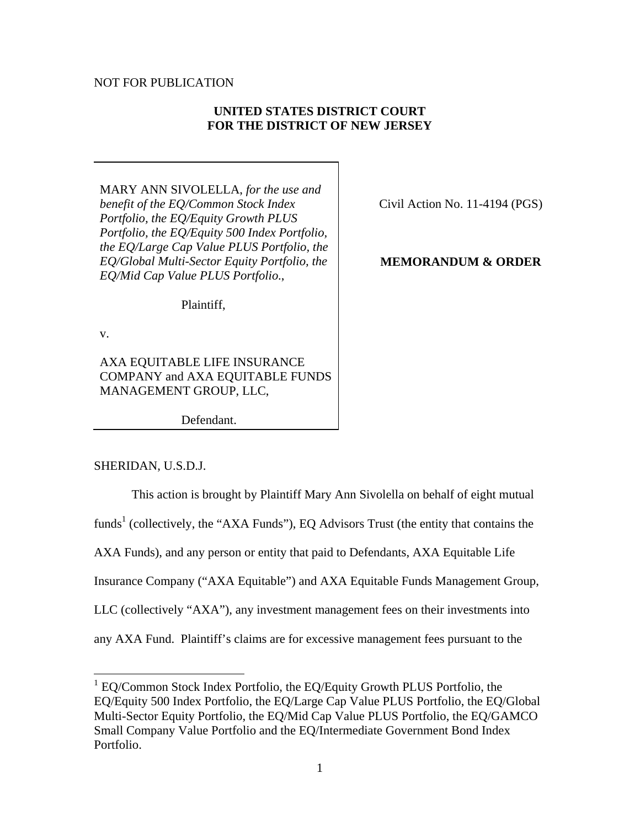### NOT FOR PUBLICATION

## **UNITED STATES DISTRICT COURT FOR THE DISTRICT OF NEW JERSEY**

MARY ANN SIVOLELLA, *for the use and benefit of the EQ/Common Stock Index Portfolio, the EQ/Equity Growth PLUS Portfolio, the EQ/Equity 500 Index Portfolio, the EQ/Large Cap Value PLUS Portfolio, the EQ/Global Multi-Sector Equity Portfolio, the EQ/Mid Cap Value PLUS Portfolio*.,

Civil Action No. 11-4194 (PGS)

### **MEMORANDUM & ORDER**

Plaintiff,

v.

1

AXA EQUITABLE LIFE INSURANCE COMPANY and AXA EQUITABLE FUNDS MANAGEMENT GROUP, LLC,

Defendant.

SHERIDAN, U.S.D.J.

This action is brought by Plaintiff Mary Ann Sivolella on behalf of eight mutual funds<sup>1</sup> (collectively, the "AXA Funds"), EQ Advisors Trust (the entity that contains the AXA Funds), and any person or entity that paid to Defendants, AXA Equitable Life Insurance Company ("AXA Equitable") and AXA Equitable Funds Management Group, LLC (collectively "AXA"), any investment management fees on their investments into any AXA Fund. Plaintiff's claims are for excessive management fees pursuant to the

<sup>&</sup>lt;sup>1</sup> EQ/Common Stock Index Portfolio, the EQ/Equity Growth PLUS Portfolio, the EQ/Equity 500 Index Portfolio, the EQ/Large Cap Value PLUS Portfolio, the EQ/Global Multi-Sector Equity Portfolio, the EQ/Mid Cap Value PLUS Portfolio, the EQ/GAMCO Small Company Value Portfolio and the EQ/Intermediate Government Bond Index Portfolio.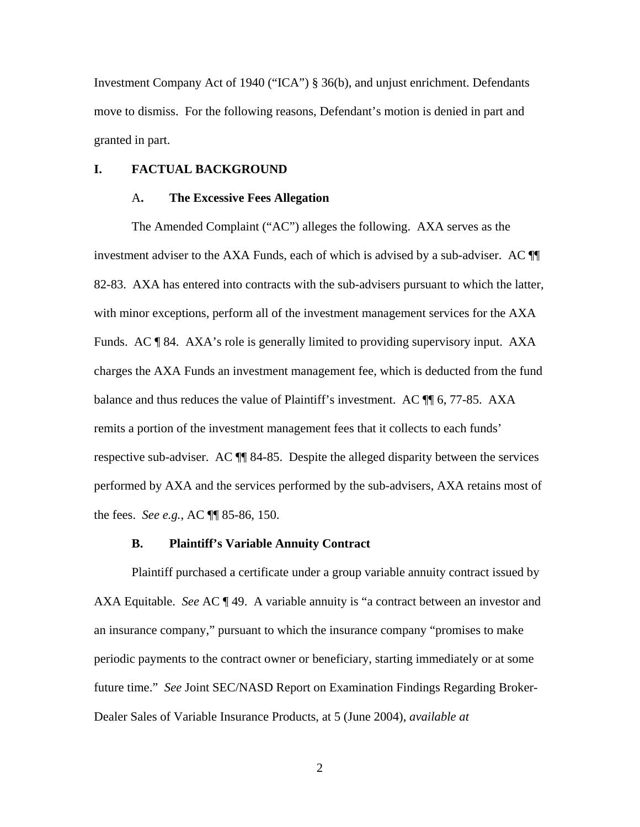Investment Company Act of 1940 ("ICA") § 36(b), and unjust enrichment. Defendants move to dismiss. For the following reasons, Defendant's motion is denied in part and granted in part.

### **I. FACTUAL BACKGROUND**

#### A**. The Excessive Fees Allegation**

The Amended Complaint ("AC") alleges the following. AXA serves as the investment adviser to the AXA Funds, each of which is advised by a sub-adviser. AC ¶¶ 82-83. AXA has entered into contracts with the sub-advisers pursuant to which the latter, with minor exceptions, perform all of the investment management services for the AXA Funds. AC ¶ 84. AXA's role is generally limited to providing supervisory input. AXA charges the AXA Funds an investment management fee, which is deducted from the fund balance and thus reduces the value of Plaintiff's investment. AC ¶ 6, 77-85. AXA remits a portion of the investment management fees that it collects to each funds' respective sub-adviser. AC  $\P$  84-85. Despite the alleged disparity between the services performed by AXA and the services performed by the sub-advisers, AXA retains most of the fees. *See e.g.*, AC ¶¶ 85-86, 150.

#### **B. Plaintiff's Variable Annuity Contract**

Plaintiff purchased a certificate under a group variable annuity contract issued by AXA Equitable. *See* AC ¶ 49. A variable annuity is "a contract between an investor and an insurance company," pursuant to which the insurance company "promises to make periodic payments to the contract owner or beneficiary, starting immediately or at some future time." *See* Joint SEC/NASD Report on Examination Findings Regarding Broker-Dealer Sales of Variable Insurance Products, at 5 (June 2004), *available at*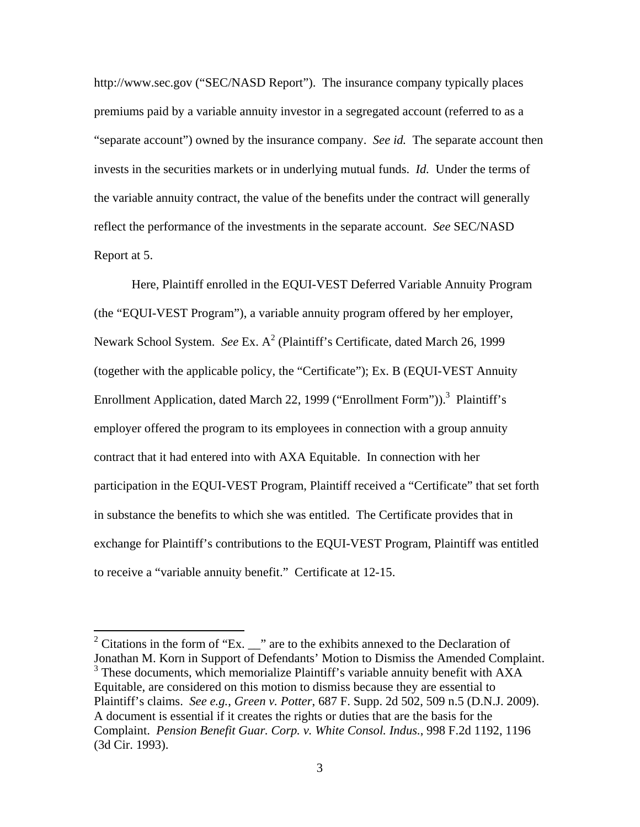http://www.sec.gov ("SEC/NASD Report"). The insurance company typically places premiums paid by a variable annuity investor in a segregated account (referred to as a "separate account") owned by the insurance company. *See id.* The separate account then invests in the securities markets or in underlying mutual funds. *Id.* Under the terms of the variable annuity contract, the value of the benefits under the contract will generally reflect the performance of the investments in the separate account. *See* SEC/NASD Report at 5.

Here, Plaintiff enrolled in the EQUI-VEST Deferred Variable Annuity Program (the "EQUI-VEST Program"), a variable annuity program offered by her employer, Newark School System. *See* Ex. A<sup>2</sup> (Plaintiff's Certificate, dated March 26, 1999 (together with the applicable policy, the "Certificate"); Ex. B (EQUI-VEST Annuity Enrollment Application, dated March 22, 1999 ("Enrollment Form")).<sup>3</sup> Plaintiff's employer offered the program to its employees in connection with a group annuity contract that it had entered into with AXA Equitable. In connection with her participation in the EQUI-VEST Program, Plaintiff received a "Certificate" that set forth in substance the benefits to which she was entitled. The Certificate provides that in exchange for Plaintiff's contributions to the EQUI-VEST Program, Plaintiff was entitled to receive a "variable annuity benefit." Certificate at 12-15.

 $\overline{a}$ 

<sup>&</sup>lt;sup>2</sup> Citations in the form of "Ex.  $\frac{1}{2}$ " are to the exhibits annexed to the Declaration of Jonathan M. Korn in Support of Defendants' Motion to Dismiss the Amended Complaint. <sup>3</sup> These documents, which memorialize Plaintiff's variable annuity benefit with AXA Equitable, are considered on this motion to dismiss because they are essential to Plaintiff's claims. *See e.g.*, *Green v. Potter*, 687 F. Supp. 2d 502, 509 n.5 (D.N.J. 2009). A document is essential if it creates the rights or duties that are the basis for the Complaint. *Pension Benefit Guar. Corp. v. White Consol. Indus.*, 998 F.2d 1192, 1196 (3d Cir. 1993).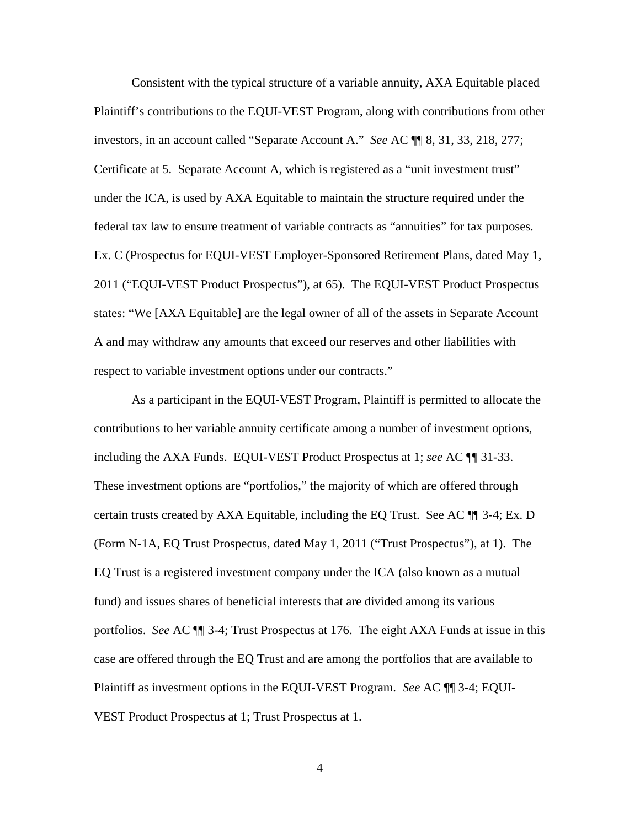Consistent with the typical structure of a variable annuity, AXA Equitable placed Plaintiff's contributions to the EQUI-VEST Program, along with contributions from other investors, in an account called "Separate Account A." *See* AC ¶¶ 8, 31, 33, 218, 277; Certificate at 5. Separate Account A, which is registered as a "unit investment trust" under the ICA, is used by AXA Equitable to maintain the structure required under the federal tax law to ensure treatment of variable contracts as "annuities" for tax purposes. Ex. C (Prospectus for EQUI-VEST Employer-Sponsored Retirement Plans, dated May 1, 2011 ("EQUI-VEST Product Prospectus"), at 65). The EQUI-VEST Product Prospectus states: "We [AXA Equitable] are the legal owner of all of the assets in Separate Account A and may withdraw any amounts that exceed our reserves and other liabilities with respect to variable investment options under our contracts."

As a participant in the EQUI-VEST Program, Plaintiff is permitted to allocate the contributions to her variable annuity certificate among a number of investment options, including the AXA Funds. EQUI-VEST Product Prospectus at 1; *see* AC ¶¶ 31-33. These investment options are "portfolios," the majority of which are offered through certain trusts created by AXA Equitable, including the EQ Trust. See AC ¶¶ 3-4; Ex. D (Form N-1A, EQ Trust Prospectus, dated May 1, 2011 ("Trust Prospectus"), at 1). The EQ Trust is a registered investment company under the ICA (also known as a mutual fund) and issues shares of beneficial interests that are divided among its various portfolios. *See* AC ¶¶ 3-4; Trust Prospectus at 176. The eight AXA Funds at issue in this case are offered through the EQ Trust and are among the portfolios that are available to Plaintiff as investment options in the EQUI-VEST Program. *See* AC ¶¶ 3-4; EQUI-VEST Product Prospectus at 1; Trust Prospectus at 1.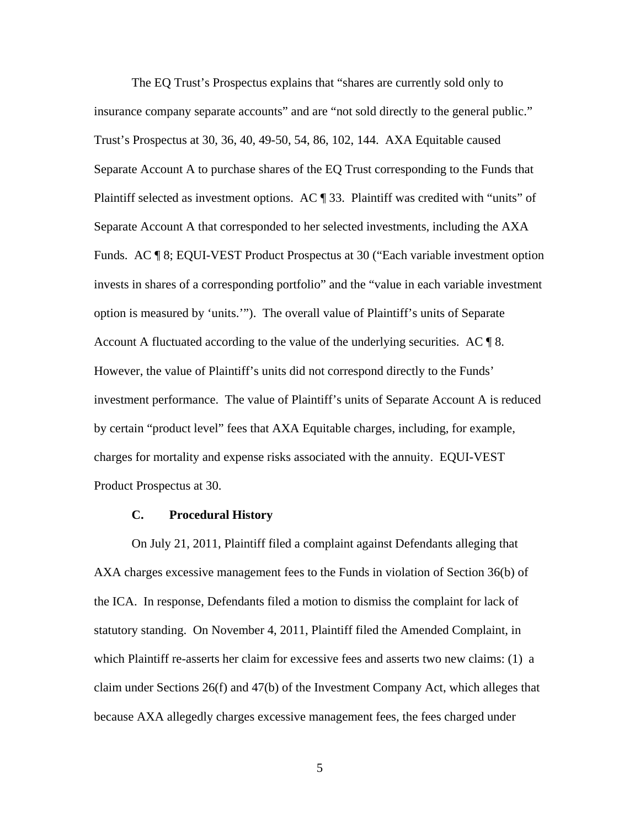The EQ Trust's Prospectus explains that "shares are currently sold only to insurance company separate accounts" and are "not sold directly to the general public." Trust's Prospectus at 30, 36, 40, 49-50, 54, 86, 102, 144. AXA Equitable caused Separate Account A to purchase shares of the EQ Trust corresponding to the Funds that Plaintiff selected as investment options. AC ¶ 33. Plaintiff was credited with "units" of Separate Account A that corresponded to her selected investments, including the AXA Funds. AC ¶ 8; EQUI-VEST Product Prospectus at 30 ("Each variable investment option invests in shares of a corresponding portfolio" and the "value in each variable investment option is measured by 'units.'"). The overall value of Plaintiff's units of Separate Account A fluctuated according to the value of the underlying securities. AC  $\llbracket$  8. However, the value of Plaintiff's units did not correspond directly to the Funds' investment performance. The value of Plaintiff's units of Separate Account A is reduced by certain "product level" fees that AXA Equitable charges, including, for example, charges for mortality and expense risks associated with the annuity. EQUI-VEST Product Prospectus at 30.

### **C. Procedural History**

 On July 21, 2011, Plaintiff filed a complaint against Defendants alleging that AXA charges excessive management fees to the Funds in violation of Section 36(b) of the ICA. In response, Defendants filed a motion to dismiss the complaint for lack of statutory standing. On November 4, 2011, Plaintiff filed the Amended Complaint, in which Plaintiff re-asserts her claim for excessive fees and asserts two new claims: (1) a claim under Sections 26(f) and 47(b) of the Investment Company Act, which alleges that because AXA allegedly charges excessive management fees, the fees charged under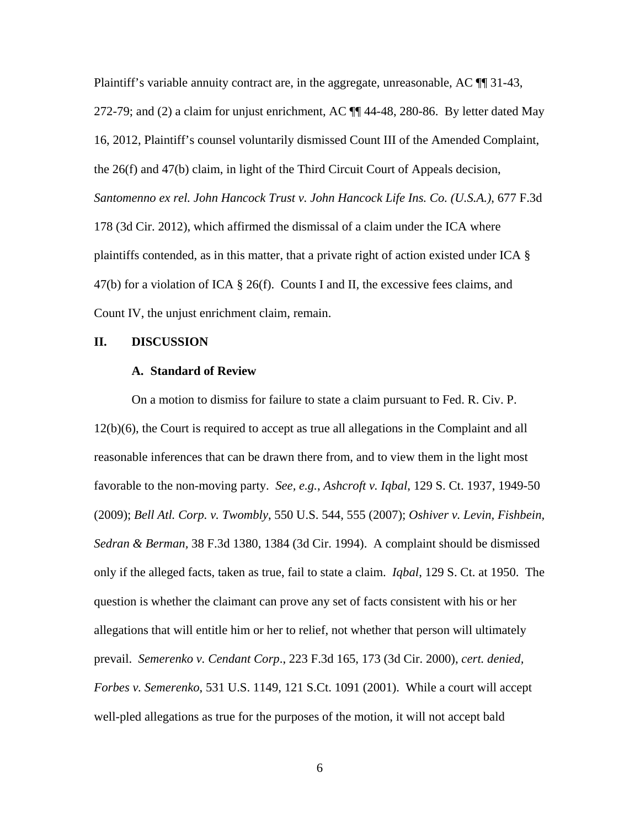Plaintiff's variable annuity contract are, in the aggregate, unreasonable, AC  $\P$  31-43, 272-79; and (2) a claim for unjust enrichment, AC  $\P$  $\P$  44-48, 280-86. By letter dated May 16, 2012, Plaintiff's counsel voluntarily dismissed Count III of the Amended Complaint, the 26(f) and 47(b) claim, in light of the Third Circuit Court of Appeals decision, *Santomenno ex rel. John Hancock Trust v. John Hancock Life Ins. Co. (U.S.A.)*, 677 F.3d 178 (3d Cir. 2012), which affirmed the dismissal of a claim under the ICA where plaintiffs contended, as in this matter, that a private right of action existed under ICA § 47(b) for a violation of ICA  $\S$  26(f). Counts I and II, the excessive fees claims, and Count IV, the unjust enrichment claim, remain.

#### **II. DISCUSSION**

#### **A. Standard of Review**

 On a motion to dismiss for failure to state a claim pursuant to Fed. R. Civ. P. 12(b)(6), the Court is required to accept as true all allegations in the Complaint and all reasonable inferences that can be drawn there from, and to view them in the light most favorable to the non-moving party. *See, e.g.*, *Ashcroft v. Iqbal*, 129 S. Ct. 1937, 1949-50 (2009); *Bell Atl. Corp. v. Twombly*, 550 U.S. 544, 555 (2007); *Oshiver v. Levin, Fishbein, Sedran & Berman,* 38 F.3d 1380, 1384 (3d Cir. 1994). A complaint should be dismissed only if the alleged facts, taken as true, fail to state a claim. *Iqbal*, 129 S. Ct. at 1950. The question is whether the claimant can prove any set of facts consistent with his or her allegations that will entitle him or her to relief, not whether that person will ultimately prevail. *Semerenko v. Cendant Corp*., 223 F.3d 165, 173 (3d Cir. 2000), *cert. denied, Forbes v. Semerenko*, 531 U.S. 1149, 121 S.Ct. 1091 (2001). While a court will accept well-pled allegations as true for the purposes of the motion, it will not accept bald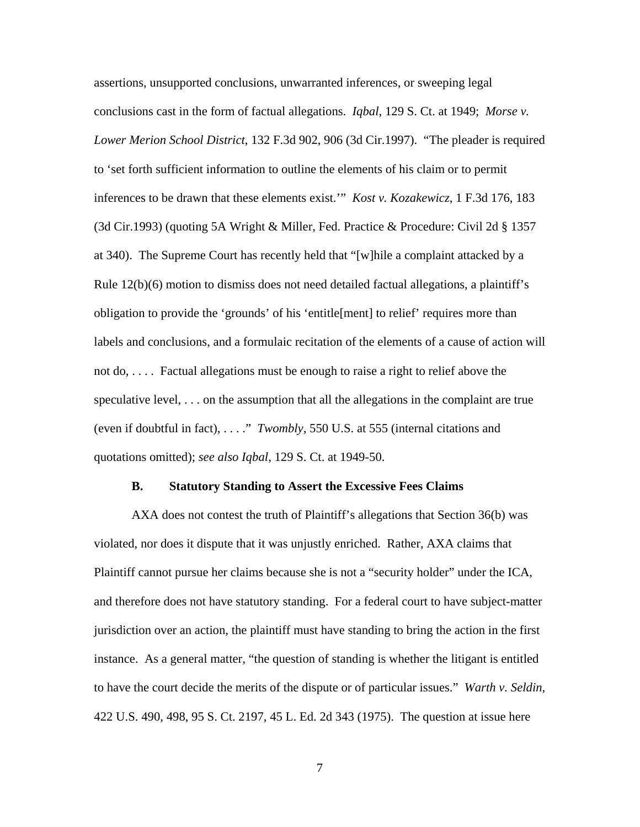assertions, unsupported conclusions, unwarranted inferences, or sweeping legal conclusions cast in the form of factual allegations. *Iqbal*, 129 S. Ct. at 1949; *Morse v. Lower Merion School District*, 132 F.3d 902, 906 (3d Cir.1997). "The pleader is required to 'set forth sufficient information to outline the elements of his claim or to permit inferences to be drawn that these elements exist.'" *Kost v. Kozakewicz*, 1 F.3d 176, 183 (3d Cir.1993) (quoting 5A Wright & Miller, Fed. Practice & Procedure: Civil 2d § 1357 at 340). The Supreme Court has recently held that "[w]hile a complaint attacked by a Rule  $12(b)(6)$  motion to dismiss does not need detailed factual allegations, a plaintiff's obligation to provide the 'grounds' of his 'entitle[ment] to relief' requires more than labels and conclusions, and a formulaic recitation of the elements of a cause of action will not do, . . . . Factual allegations must be enough to raise a right to relief above the speculative level, . . . on the assumption that all the allegations in the complaint are true (even if doubtful in fact), . . . ." *Twombly*, 550 U.S. at 555 (internal citations and quotations omitted); *see also Iqbal*, 129 S. Ct. at 1949-50.

#### **B. Statutory Standing to Assert the Excessive Fees Claims**

AXA does not contest the truth of Plaintiff's allegations that Section 36(b) was violated, nor does it dispute that it was unjustly enriched. Rather, AXA claims that Plaintiff cannot pursue her claims because she is not a "security holder" under the ICA, and therefore does not have statutory standing. For a federal court to have subject-matter jurisdiction over an action, the plaintiff must have standing to bring the action in the first instance. As a general matter, "the question of standing is whether the litigant is entitled to have the court decide the merits of the dispute or of particular issues." *Warth v. Seldin*, 422 U.S. 490, 498, 95 S. Ct. 2197, 45 L. Ed. 2d 343 (1975). The question at issue here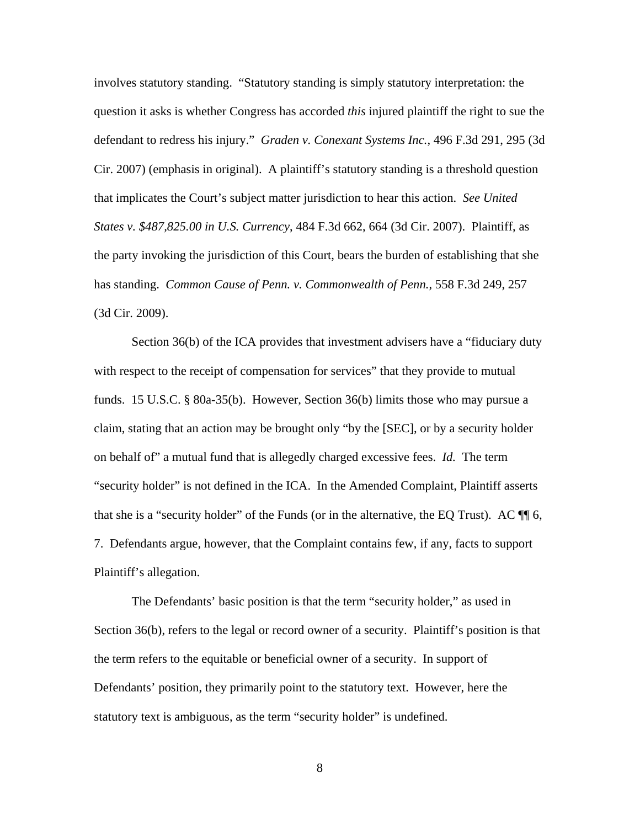involves statutory standing. "Statutory standing is simply statutory interpretation: the question it asks is whether Congress has accorded *this* injured plaintiff the right to sue the defendant to redress his injury." *Graden v. Conexant Systems Inc.*, 496 F.3d 291, 295 (3d Cir. 2007) (emphasis in original). A plaintiff's statutory standing is a threshold question that implicates the Court's subject matter jurisdiction to hear this action. *See United States v. \$487,825.00 in U.S. Currency*, 484 F.3d 662, 664 (3d Cir. 2007). Plaintiff, as the party invoking the jurisdiction of this Court, bears the burden of establishing that she has standing. *Common Cause of Penn. v. Commonwealth of Penn.*, 558 F.3d 249, 257 (3d Cir. 2009).

Section 36(b) of the ICA provides that investment advisers have a "fiduciary duty with respect to the receipt of compensation for services" that they provide to mutual funds. 15 U.S.C. § 80a-35(b). However, Section 36(b) limits those who may pursue a claim, stating that an action may be brought only "by the [SEC], or by a security holder on behalf of" a mutual fund that is allegedly charged excessive fees. *Id.* The term "security holder" is not defined in the ICA. In the Amended Complaint, Plaintiff asserts that she is a "security holder" of the Funds (or in the alternative, the EQ Trust). AC  $\P$  6, 7. Defendants argue, however, that the Complaint contains few, if any, facts to support Plaintiff's allegation.

The Defendants' basic position is that the term "security holder," as used in Section 36(b), refers to the legal or record owner of a security. Plaintiff's position is that the term refers to the equitable or beneficial owner of a security. In support of Defendants' position, they primarily point to the statutory text. However, here the statutory text is ambiguous, as the term "security holder" is undefined.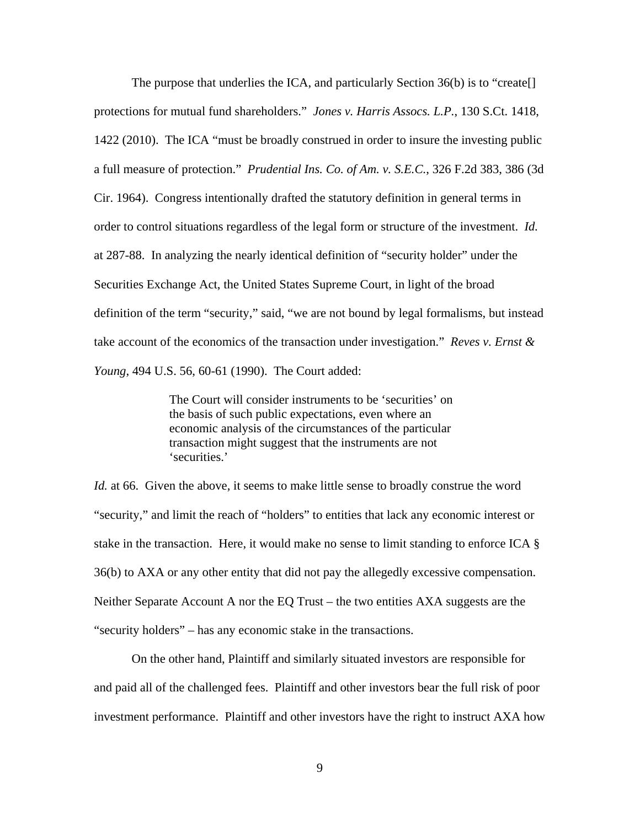The purpose that underlies the ICA, and particularly Section 36(b) is to "create[] protections for mutual fund shareholders." *Jones v. Harris Assocs. L.P.*, 130 S.Ct. 1418, 1422 (2010). The ICA "must be broadly construed in order to insure the investing public a full measure of protection." *Prudential Ins. Co. of Am. v. S.E.C.*, 326 F.2d 383, 386 (3d Cir. 1964). Congress intentionally drafted the statutory definition in general terms in order to control situations regardless of the legal form or structure of the investment. *Id.* at 287-88. In analyzing the nearly identical definition of "security holder" under the Securities Exchange Act, the United States Supreme Court, in light of the broad definition of the term "security," said, "we are not bound by legal formalisms, but instead take account of the economics of the transaction under investigation." *Reves v. Ernst & Young*, 494 U.S. 56, 60-61 (1990). The Court added:

> The Court will consider instruments to be 'securities' on the basis of such public expectations, even where an economic analysis of the circumstances of the particular transaction might suggest that the instruments are not 'securities.'

*Id.* at 66. Given the above, it seems to make little sense to broadly construe the word "security," and limit the reach of "holders" to entities that lack any economic interest or stake in the transaction. Here, it would make no sense to limit standing to enforce ICA § 36(b) to AXA or any other entity that did not pay the allegedly excessive compensation. Neither Separate Account A nor the EQ Trust – the two entities AXA suggests are the "security holders" – has any economic stake in the transactions.

On the other hand, Plaintiff and similarly situated investors are responsible for and paid all of the challenged fees. Plaintiff and other investors bear the full risk of poor investment performance. Plaintiff and other investors have the right to instruct AXA how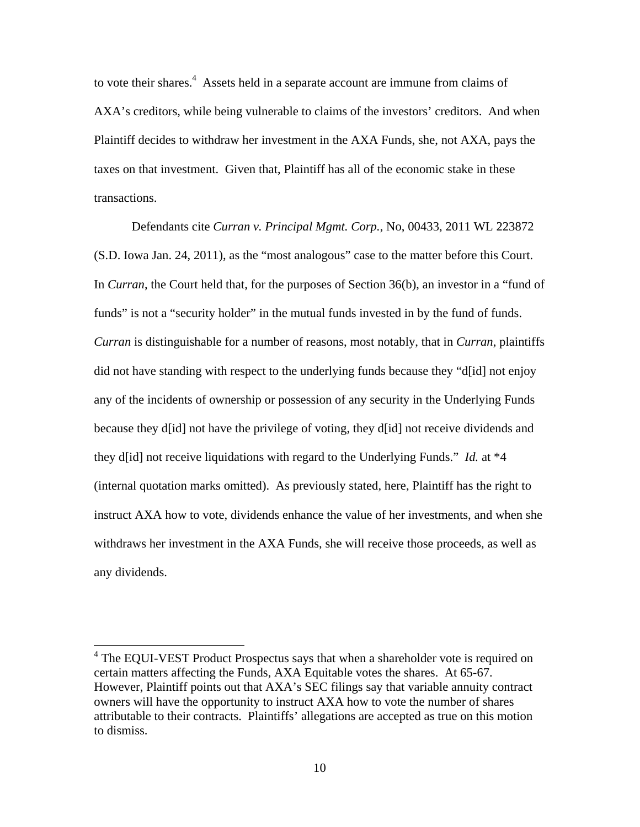to vote their shares. $4$  Assets held in a separate account are immune from claims of AXA's creditors, while being vulnerable to claims of the investors' creditors. And when Plaintiff decides to withdraw her investment in the AXA Funds, she, not AXA, pays the taxes on that investment. Given that, Plaintiff has all of the economic stake in these transactions.

Defendants cite *Curran v. Principal Mgmt. Corp.*, No, 00433, 2011 WL 223872 (S.D. Iowa Jan. 24, 2011), as the "most analogous" case to the matter before this Court. In *Curran*, the Court held that, for the purposes of Section 36(b), an investor in a "fund of funds" is not a "security holder" in the mutual funds invested in by the fund of funds. *Curran* is distinguishable for a number of reasons, most notably, that in *Curran*, plaintiffs did not have standing with respect to the underlying funds because they "d[id] not enjoy any of the incidents of ownership or possession of any security in the Underlying Funds because they d[id] not have the privilege of voting, they d[id] not receive dividends and they d[id] not receive liquidations with regard to the Underlying Funds." *Id.* at \*4 (internal quotation marks omitted). As previously stated, here, Plaintiff has the right to instruct AXA how to vote, dividends enhance the value of her investments, and when she withdraws her investment in the AXA Funds, she will receive those proceeds, as well as any dividends.

 $\overline{a}$ 

<sup>&</sup>lt;sup>4</sup> The EQUI-VEST Product Prospectus says that when a shareholder vote is required on certain matters affecting the Funds, AXA Equitable votes the shares. At 65-67. However, Plaintiff points out that AXA's SEC filings say that variable annuity contract owners will have the opportunity to instruct AXA how to vote the number of shares attributable to their contracts. Plaintiffs' allegations are accepted as true on this motion to dismiss.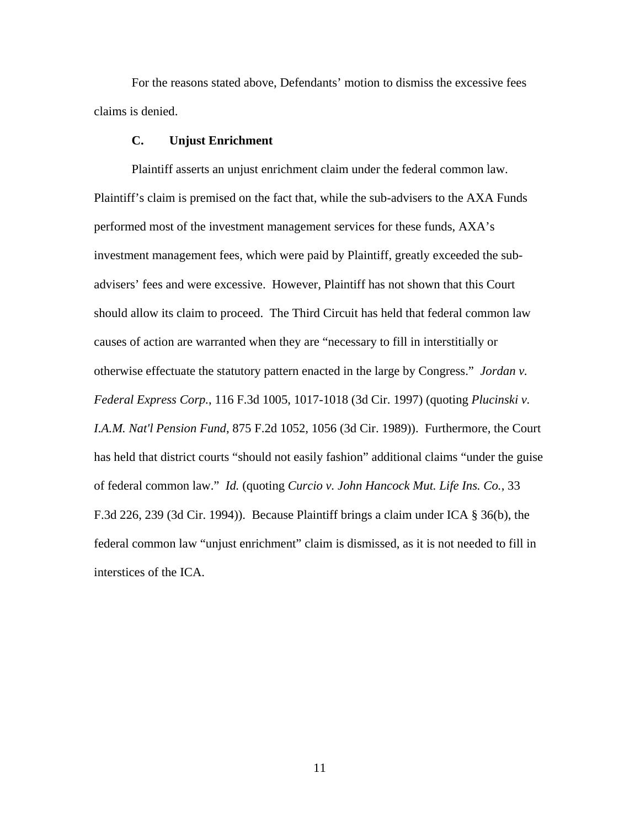For the reasons stated above, Defendants' motion to dismiss the excessive fees claims is denied.

### **C. Unjust Enrichment**

Plaintiff asserts an unjust enrichment claim under the federal common law. Plaintiff's claim is premised on the fact that, while the sub-advisers to the AXA Funds performed most of the investment management services for these funds, AXA's investment management fees, which were paid by Plaintiff, greatly exceeded the subadvisers' fees and were excessive. However, Plaintiff has not shown that this Court should allow its claim to proceed. The Third Circuit has held that federal common law causes of action are warranted when they are "necessary to fill in interstitially or otherwise effectuate the statutory pattern enacted in the large by Congress." *Jordan v. Federal Express Corp.*, 116 F.3d 1005, 1017-1018 (3d Cir. 1997) (quoting *Plucinski v. I.A.M. Nat'l Pension Fund*, 875 F.2d 1052, 1056 (3d Cir. 1989)). Furthermore, the Court has held that district courts "should not easily fashion" additional claims "under the guise of federal common law." *Id.* (quoting *Curcio v. John Hancock Mut. Life Ins. Co.*, 33 F.3d 226, 239 (3d Cir. 1994)). Because Plaintiff brings a claim under ICA § 36(b), the federal common law "unjust enrichment" claim is dismissed, as it is not needed to fill in interstices of the ICA.